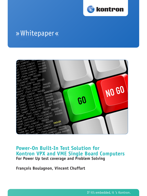

# » Whitepaper «



## **Power-On Built-In Test Solution for Kontron VPX and VME Single Board Computers For Power Up test coverage and Problem Solving**

**François Boulagnon, Vincent Chuffart**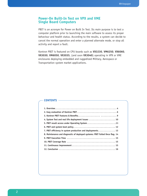#### **Power-On Built-In Test on VPX and VME Single Board Computers**

PBIT is an acronym for Power on Built In Test. Its main purpose is to test a computer platform prior to launching the main software to assess its proper behaviour and health status. According to the results, a system can decide to cancel the normal operation and enter a planned alternate mode, or stop all activity and report a fault.

Kontron PBIT is featured on CPU boards such as **VX3230**, **VM6250**, **VX6060**, **VX3030**, **VM6050**, **VX3035**, (and soon **VX3040**) operating in VPX or VME enclosures deploying embedded and ruggedized Military, Aerospace or Transportation system market applications.

#### **CONTENTS**

| 4. System Test and real life deployment issues  10                           |
|------------------------------------------------------------------------------|
|                                                                              |
|                                                                              |
| 7. PBIT efficiency in system production and deployments 13                   |
| 8. Maintenance and diagnostic of deployed systems: PBIT Failed Once flag. 14 |
|                                                                              |
|                                                                              |
|                                                                              |
|                                                                              |
|                                                                              |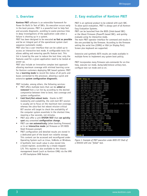#### **1. Overview**

**Kontron PBIT** software is an extensible framework for Power On Built In Test of SBCs. Its execution occurs early in the boot process. PBIT is a powerful tool to help fast and accurate diagnostic, avoiding to waste precious time in deep investigations of the application code when a failure is showing up in a system.

PBIT has been designed to be executed **as fast as possible** and be an integral part of the operational system start sequence (automatic mode).

PBIT also has a user interface that can be called up to access an interactive test mode. A configurable tests list allows adding and removing specific feature test. This list is tuned by the user to reduce the test time; only the features used for a given application need to be tested at power up.

PBIT also include an innovative complex test approach allowing maximum coverage with minimal learning curve for Kontron customers deploying SBC based systems: PBIT has a **learning mode** to record the status of all ports and buses connected to the processor, allowing a quick and extensive **system configuration diagnostic**.

PBIT includes, among others, the following services:

- PBIT offers multiple tests that can be **added or removed** from a run list by according to the desired compromise between time to boot, test coverage and system configuration.
- **• Cold Start/Hot-reboot tests**: thanks to BIT modularity and scalability, the cold start BIT session is usually set to focus on the maximum test coverage, whereas the ultra-fast hot reboot mission-critical BIT session will target to check the availability of the computer system essentials in the shortest time, meaning a few seconds, not minutes.
- PBIT also offer a unit **SYSTEM TEST** that **can quickly spot** any unwanted **configuration change**.
- PBIT can **run automatically** (when booting firmware) or in an **interactive mode** (at firmware or EFI BIOS Shell firmware prompt)
- PBIT configuration and detailed results are stored in a dedicated part of the board non volatile storage. This content can be accessed and reconfigured under Operating System such as Linux, VxWorks or Windows.
- A Synthetic test result value is also stored into a board register, accessible by a simple mapped I/O. This register is also available to the chassis management board (such as Kontron CMB) via the VME or VPX backplane SMB feature.

## **2. Easy evaluation of Kontron PBIT**

PBIT is an optional product to be ordered with each SBC. To allow quick evaluation, PBIT is always part of all Kontron Easy Evaluation Systems.

PBIT can be launched from the BIOS (Intel-based SBC) or the Uboot Firmware (PowerPC-based SBC), and quickly evaluate using its interactive mode.

The main PBIT operator interface for command and results is the one provided by the firmware. According to the firmware setting the serial line (COM0) or VGA (or Display Port) Screen plus keyboard are supported.

Extensive and synthetic BITS results are made available in multiple forms to implement any system boot policiy.

PBIT incorporates many firmware sub-commands for on-line help, execute run mode, dump/add/remove unitary test, configure test run mode and so on.

| VX3030> kdiag run                                                                                                             |
|-------------------------------------------------------------------------------------------------------------------------------|
| PBIT "mem data" (fast, simple) PASSED                                                                                         |
| PBIT "mem addr" (fast, simple) PASSED                                                                                         |
| PBIT "mem_pattern1" (slow,simple) PASSED                                                                                      |
| PBIT "mem pattern2" (slow, simple) PASSED                                                                                     |
| PBIT "mem pattern3" (slow, simple) PASSED                                                                                     |
| PBIT "mem pattern4" (slow, simple) PASSED                                                                                     |
| PBIT "pcie vpx sw" (fast, simple) PASSED                                                                                      |
| PBIT "serial" (fast, simple) PASSED                                                                                           |
| PBIT "rtc" (fast, simple) PASSED                                                                                              |
| PBIT "sysflash" (fast, simple) PASSED                                                                                         |
| PBIT "cpld" (fast, simple) PASSED                                                                                             |
| PBIT "temp sensors" (fast, simple) PASSED                                                                                     |
| PBIT "temperature" (fast, simple) PASSED                                                                                      |
| PBIT "fnvram" (fast, simple) PASSED                                                                                           |
| PBIT "ether link0" (fast, simple) WARNING: Link speed 100Mb/s PASSED                                                          |
| PBIT "ether loop0" (fast, simple) PASSED                                                                                      |
| PBIT "ether_loop1" (fast,simple) PASSED<br>PBIT "ether_loop1" (fast,simple) PASSED<br>PBIT "ether_loop2" (fast,simple) PASSED |
|                                                                                                                               |
| PBIT "ether_loop3" (fast,simple)   NOT EQUIPPED PASSED<br>PBIT "ether_loop4" (fast,simple)   NOT EQUIPPED PASSED              |
|                                                                                                                               |
| PBIT "voltage" (fast, simple) PASSED<br>PBIT "sata4 dev see" (fast, simple) PASSED                                            |
| PBIT "sata0 controler" (fast, simple) PASSED                                                                                  |
| PBIT "satal controler" (fast, simple) PASSED                                                                                  |
| PBIT "vpd" (fast, simple) PASSED                                                                                              |
| PBIT "eeprom" (fast, simple) PASSED                                                                                           |
| PBIT "usb0 dev see" (fast.simple) FAILED                                                                                      |
| PBIT "usb1 dev see" (fast.simple) PASSED                                                                                      |
| PBIT "usb1 controller" (fast, simple) PASSED                                                                                  |
| PBIT "usb2 controller" (fast, simple) PASSED                                                                                  |
| PBIT "system" (fast, simple) NOT SAVED PASSED                                                                                 |
|                                                                                                                               |
|                                                                                                                               |
| VX3030>                                                                                                                       |

*Figure 1: Example of PBIT execution under BIOS EFI Shell of a VX3030 with one "failed" test.*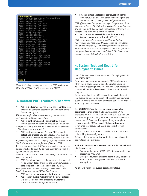| VX3030> kdiag stat                                    |
|-------------------------------------------------------|
| Status of PBITs configured to run from command line : |
| mem data (fast, simple)<br>PASSED :                   |
| PASSED : mem addr (fast, simple)                      |
| mem pattern1 (slow, simple)<br>PASSED :               |
| mem pattern2 (slow, simple)<br>PASSED :               |
| mem pattern3 (slow, simple)<br>PASSED:                |
| PASSED:<br>mem pattern4 (slow, simple)                |
| pcie vpx sw (fast, simple)<br>PASSED:                 |
| PASSED :<br>serial (fast, simple)                     |
| rtc (fast, simple)<br>PASSED :                        |
| sysflash (fast, simple)<br>PASSED :                   |
| cpld (fast, simple)<br>PASSED                         |
| temp sensors (fast, simple)<br>PASSED                 |
| temperature (fast, simple)<br>PASSED                  |
| fnvram (fast, simple)<br>PASSED                       |
| ether loop0 (fast, simple)<br>PASSED :                |
| ether loop1 (fast, simple)<br>PASSED :                |
| PASSED :<br>ether loop2 (fast, simple)                |
| ether loop3 (fast, simple)<br>PASSED :                |
| ether loop4 (fast, simple)<br>PASSED :                |
| voltage (fast, simple)<br>PASSED :                    |
| sata0 controler (fast, simple)<br>PASSED :            |
| satal controler (fast, simple)<br>PASSED :            |
| vpd (fast, simple)<br>PASSED :                        |
| eeprom (fast, simple)<br>PASSED :                     |
| usb1 controller (fast, simple)<br>PASSED :            |
| PASSED :<br>usb2 controller (fast.simple)             |
| system (fast, simple)<br>PASSED :                     |
|                                                       |
| run<br>: 27                                           |
| PASSED : 27                                           |
| FAILED : 0                                            |
| NOT RUN: 0                                            |
|                                                       |
| VX3030>                                               |
|                                                       |

*Figure 2: Reading results from a previous PBIT session from VX3030 BIOS Shell. In this case every test PASSED.*

#### **3. Kontron PBIT Features & Benefits**

• PBIT is **modular** and comes with a set of **unitary tests** that can be launched separately to cover each board feature one by one.

*This is very useful when troubleshooting transient errors such as faulty cables or connectors.*

- PBIT is **configurable and customizable**, thus any unitary test can be added or removed to a given run. *Multiple versions of this list are supported, allowing various*
- *cold and warm start test policies.* • PBIT must be **extensible**. As such PBIT is able to **detect and process any peripheral device** such as

 SATA, USB, network link, PMC/XMC, other VPX boards... *Implementing extensive coverage of anything attached to the SBC is the most innovative feature of Kontron PBIT.*

In its operational form, PBIT must not modify any external device attached to the SBC. It must not interfere with the system around the board.

*We make sure no unit test can create unsafe situations in the system under test.*

• PBIT **Execution time** is configurable and documented for all unitary tests. This puts the Coverage/Execution time compromise in the hands of the SBC user.

*Putting the Boot Time/Test Coverage compromise in the hands of the end user is PBIT main advantage.*

- PBIT provides **visual progress indicator** when needed.
- PBIT session **always recovers** from hardware defects. If a test would hang the processor, a **watchdog** protection ensures the system recovery.

• PBIT can detect a **reference configuration change** (link status, disk presence, other board change in the VPX backplane ...). See System Configuration Test

*PBIT offers unmatched system coverage. Imagine how nice it will be to detect a USB stick left by accident in a random port of a complex multi board, multi rack system, or track a loose network cable even before the OS is started.*

• PBIT results are **accessible** from the **Operating System**, thanks to a dedicated PBIT API.

*PBIT synthetic results are also available from System Management Bus (dedicated I²C connection on each slot in VME or VPX backplanes). SMB management is best achieved with Kontron CMB (Chassis Management Board) to synthesize the system health and make it available (LEDs, Operator on the serial line, or Network: Http or SNMP).*

#### **4. System Test and Real Life Deployment Issues**

One of the most useful features of PBIT for deployments is the **SYSTEM TEST**.

For a long time, creating an accurate PBIT configuration which would cover not only the SBC but also anything attached to it (storage, network) was somewhat impossible or required a tedious development phase specific to each program.

On the other hand, the SBC seemed to be ideally located in a system to be able to become THE system configuration guardian. This is why we have developed our SYSTEM TEST in a radically innovative way.

The **SYSTEM TEST** can be used **to capture a complex peripheral configuration** (PCIe agents across a VPX backplane, PCIe mezzanines on PMC/XMC slot, but also USB and SATA peripherals, along with network interface status). How to use it? Once the final system integration phase is over, a simple PBIT command: "**kdiag system learn**" is run once to discover and record the current system configuration.

After the initial capture, PBIT considers this record as the only valid system configuration.

This recorded information is used to detect any change in the system being deployed.

#### **With this approach PBIT SYSTEM TEST is able to catch real life issues** such as:

- Bad or faulty contact (SATA, USB, Network, undetected mezzanine PMC, XMC)
- Wrong configuration (missing board in VPX, extraneous USB Stick left after system maintenance, board in wrong slot)

All this will result in a system test FAILED status.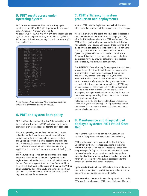#### **5. PBIT result access under Operating System**

PBIT results are accessible from the Operating System running on the SBC. A PBIT API is proposed for use under Linux, VxWorks or Microsoft Windows BSP.

An alternative for **RAPID PROTOTYPING** is to intially use the synthetic result register, directly accessible at a given PCI I/O address. This will work on any OS, or in bare metal (OS less) applications.

| $C: \CPL$ Dutils>Post                      |
|--------------------------------------------|
| POSTs configured to run from command line: |
| PASSED<br>mem data:                        |
| mem addr:<br>PASSED                        |
| mem_pattern1: PASSED                       |
| mem pattern2: PASSED                       |
| mem_pattern3: PASSED                       |
| mem_pattern4: PASSED                       |
| pcie_vpx_sw: PASSED                        |
| serial: PASSED                             |
| rtc: PASSED                                |
| sysflash: PASSED                           |
| cpld: FAILED                               |
| temp_sensors: PASSED                       |
| temperature: PASSED                        |
| fnvram: PASSED                             |
| ether loop0: PASSED                        |
| ether loop1: PASSED                        |
| ether loop2: PASSED                        |
| voltage: PASSED                            |
| sataO test: PASSED                         |
| satal test: PASSED                         |
| vpd: PASSED                                |
| eeprom: PASSED                             |
| usb1 controller: PASSED                    |
| usb2 controller: PASSED                    |
| system: PASSED                             |
|                                            |
| PASSED : 24                                |
| $\cdots$ 1<br><b>FAILED</b>                |
| NOT RUN : 0                                |
| : 25<br>TOTAL                              |
|                                            |

*Figure 3: Example of a detailed PBIT result accessed from Windows XP embedded running on VX3030.*

## **6. PBIT and system boot policy**

PBIT itself can be configured to **HALT** the executing board in case of a test failure, to **STOP** and return to firmware prompt or even to **execute an alternate boot sequence**.

From the **operating system** level, various PBIT results collection methods can be selected at the application design time to fulfil the complete system test policy. The Operating System API gives access to the complete PBIT FLASH results section. This gives the most detailed PBIT information required by a control and monitoring application to take a decision on the system following boot steps.

The malfunctioning device can be identified in the test report list stored by PBIT. The **PBIT synthetic result register** featured by the board control unit (cPLD) can also be used from a management unit such as Kontron **CMB** or from other SBCs linked **to the same SMB bus on the VME or VPX backplane**. Using this result, the controlling unit can use the same SMB channel to alter a given board Control registers and modify its behaviour.

#### **7. PBIT efficiency in system production and deployments**

Kontron PBIT software implements **unrivalled features** which make Kontron product deployment easier and cheaper.

When delivered with the board, the **PBIT code** is located in the **same device as the BIOS code**. It is deployed along with the BIOS (please refer to the PBIT user's guide). The PBIT settings (and results) are located in their dedicated non-volatile FLASH device. Duplicating these settings **on a clone system can easily be done** from the board firmware or using dedicated software delivered within Kontron Operating System BSPs for Linux, VxWorks or Microsoft Windows. This allows our customers to augment the floor plant productivity by allowing software tools to replace tedious step by step hardware configuration.

The **SYSTEM TEST** can also help for deployment. As this test scans all possible I/O ports and devices to compare with a pre-recorded system status reference, it can pinpoint and signal any change in the **expected I/O devices availability**. This can cover device failures, or more subtle system alterations (for example a faulty storage device or a network link left unconnected or an undetected VPX board on the backplane). The system test results are organized so as to pinpoint the faulting I/O port easily, before attempting a complete system boot and having to manage the corresponding cascading failures due to this incorrect peripheral configuration.

Note: for this mode, the delayed start timer implemented in the BIOS (from 0 to 900ms) can help guarantee that all the devices have a chance to become ready before the BIT session checks their status.

#### **8. Maintenance and diagnostic of deployed systems: PBIT Failed Once flag**

The following PBIT features can be very useful in the context of long term maintenance and troubleshooting.

PBIT results record the behaviour of the last PBIT run. In addition to them, each test implements a dedicated **FAILED ONCE** flag which has to be reset separately. This long term specific flag can be used by maintenance teams to investigate the root cause of previously aborted boots, **even in situations where a system is regularly re-started**, which often occurs when the system operates under the control of a higher level control authority.

**Updating the BIOS and the PBIT code** is done at the same time, using binary images containing both software due to the same storage device being used by both.

**PBIT extension**: Thanks to its modular approach, and to the EFI execution environment, PBIT can easily be modified and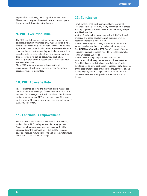expanded to match very specific application use cases. Please contact **support-kom-sa@kontron.com** to open a feature request discussion with Kontron.

## **9. PBIT Execution Time**

The PBIT test list can be modified in order to try various coverage/execution time trade-offs. PBIT execution time is measured between BIOS setup establishment and OS boot. Typical PBIT execution time is **around 10-20 seconds** for a complete board check, depending on the board and will be executed automatically before Operating System booting. This execution time **can be heavily reduced when necessary** if arbitration is needed between coverage rate and execution time.

Since PBIT tests each feature independently, all combinations of test list or execution mode (fast/slow, complex/simple) is permitted.

## **10. PBIT Coverage Rate**

PBIT is designed to cover the maximum board feature set and thus can reach coverage of **more than 95%** of what is testable. This coverage rate is calculated from SBC hardware design information and PBIT software designer. It is based on the ratio of SBC signals really exercised during Firmware/ BIOS/PBIT execution.

## **11. Continuous Improvement**

Since we also value the kind of service PBIT can deliver, we heavily use PBIT during our manufacturing process. Some special features have been implemented for this purpose. With this approach, our PBIT quality increases towards improved failure diagnostic and hidden system fault detection at each new board design.

## **12. Conclusion**

For all systems that must guarantee their operational integrity and shall detect any faulty configuration or defect as early as possible, Kontron PBIT is the **complete, unique and ideal solution**.

Kontron Boards and Systems equipped with PBIT will avoid or reduce any added development at customer level to detect and react to a system fault.

Kontron PBIT integrates a very flexible interface with its various possible configuration modes and unitary tests. The **SYSTEM configuration TEST** "learn" concept offers an innovative method to system-wide PBIT, so far unmatched in the Embedded SBC world.

Kontron PBIT is uniquely positioned to reach the expectations of **Military**, **Aerospace** and **Transportation** Embedded System market where the efficiency of system maintenances at lower cost becomes preponderant. With one of the best intuitive ease of use in the industry PBIT allows leading edge system BIT implementation to all Kontron customers, whatever their previous expertise in the test domain.